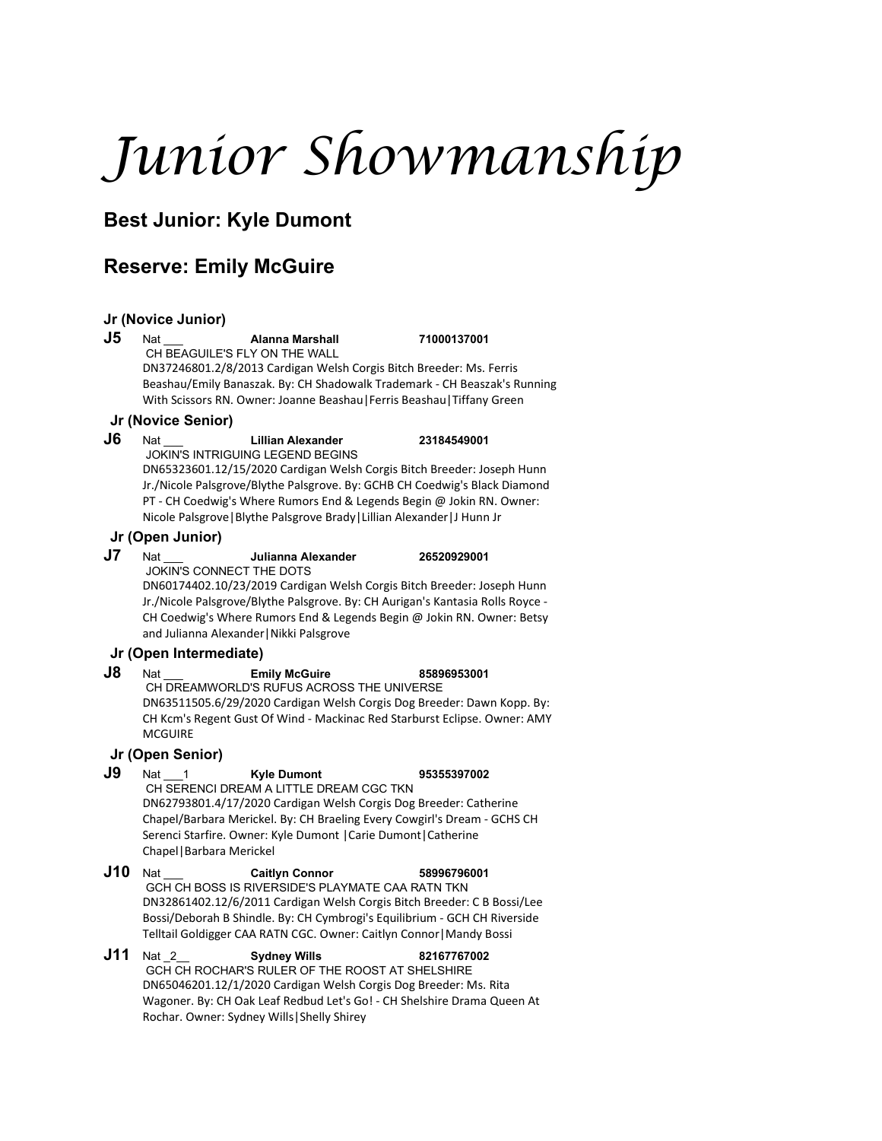# *Junior Showmanship*

# **Best Junior: Kyle Dumont**

## **Reserve: Emily McGuire**

#### **Jr (Novice Junior)**

#### **J5** Nat \_\_\_ **Alanna Marshall 71000137001**

CH BEAGUILE'S FLY ON THE WALL DN37246801.2/8/2013 Cardigan Welsh Corgis Bitch Breeder: Ms. Ferris Beashau/Emily Banaszak. By: CH Shadowalk Trademark - CH Beaszak's Running With Scissors RN. Owner: Joanne Beashau|Ferris Beashau|Tiffany Green

#### **Jr (Novice Senior)**

**J6** Nat \_\_\_ **Lillian Alexander 23184549001** JOKIN'S INTRIGUING LEGEND BEGINS

DN65323601.12/15/2020 Cardigan Welsh Corgis Bitch Breeder: Joseph Hunn Jr./Nicole Palsgrove/Blythe Palsgrove. By: GCHB CH Coedwig's Black Diamond PT - CH Coedwig's Where Rumors End & Legends Begin @ Jokin RN. Owner: Nicole Palsgrove|Blythe Palsgrove Brady|Lillian Alexander|J Hunn Jr

#### **Jr (Open Junior)**

**J7** Nat \_\_\_ **Julianna Alexander 26520929001**

JOKIN'S CONNECT THE DOTS

DN60174402.10/23/2019 Cardigan Welsh Corgis Bitch Breeder: Joseph Hunn Jr./Nicole Palsgrove/Blythe Palsgrove. By: CH Aurigan's Kantasia Rolls Royce - CH Coedwig's Where Rumors End & Legends Begin @ Jokin RN. Owner: Betsy and Julianna Alexander|Nikki Palsgrove

### **Jr (Open Intermediate)**

#### **J8** Nat \_\_\_ **Emily McGuire 85896953001**

CH DREAMWORLD'S RUFUS ACROSS THE UNIVERSE DN63511505.6/29/2020 Cardigan Welsh Corgis Dog Breeder: Dawn Kopp. By: CH Kcm's Regent Gust Of Wind - Mackinac Red Starburst Eclipse. Owner: AMY **MCGUIRE** 

### **Jr (Open Senior)**

- **J9** Nat \_\_\_1 **Kyle Dumont 95355397002** CH SERENCI DREAM A LITTLE DREAM CGC TKN DN62793801.4/17/2020 Cardigan Welsh Corgis Dog Breeder: Catherine Chapel/Barbara Merickel. By: CH Braeling Every Cowgirl's Dream - GCHS CH Serenci Starfire. Owner: Kyle Dumont |Carie Dumont|Catherine Chapel|Barbara Merickel
- **J10** Nat \_\_\_ **Caitlyn Connor 58996796001** GCH CH BOSS IS RIVERSIDE'S PLAYMATE CAA RATN TKN DN32861402.12/6/2011 Cardigan Welsh Corgis Bitch Breeder: C B Bossi/Lee Bossi/Deborah B Shindle. By: CH Cymbrogi's Equilibrium - GCH CH Riverside Telltail Goldigger CAA RATN CGC. Owner: Caitlyn Connor|Mandy Bossi
- **J11** Nat \_2\_\_ **Sydney Wills 82167767002** GCH CH ROCHAR'S RULER OF THE ROOST AT SHELSHIRE DN65046201.12/1/2020 Cardigan Welsh Corgis Dog Breeder: Ms. Rita Wagoner. By: CH Oak Leaf Redbud Let's Go! - CH Shelshire Drama Queen At Rochar. Owner: Sydney Wills|Shelly Shirey